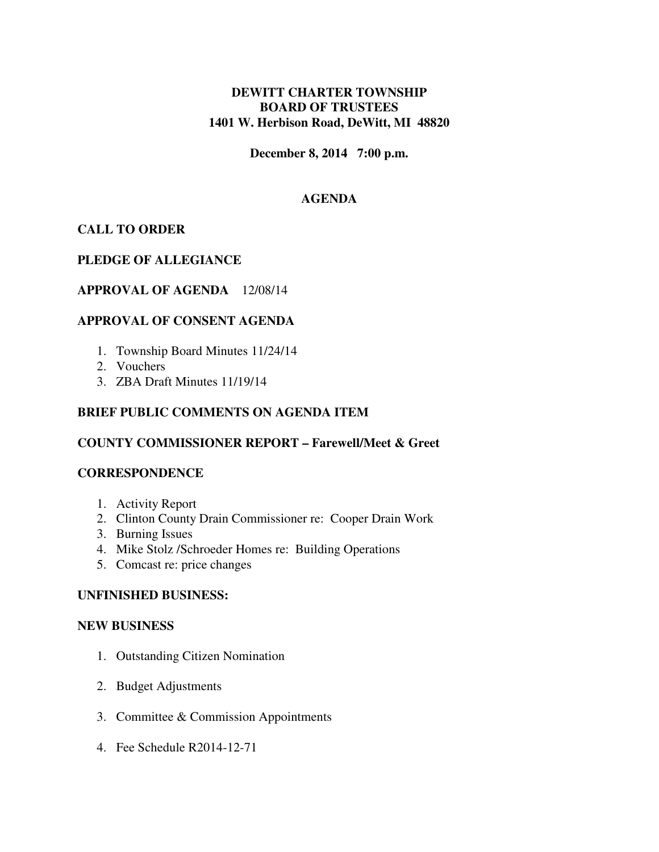# **DEWITT CHARTER TOWNSHIP BOARD OF TRUSTEES 1401 W. Herbison Road, DeWitt, MI 48820**

**December 8, 2014 7:00 p.m.** 

## **AGENDA**

## **CALL TO ORDER**

## **PLEDGE OF ALLEGIANCE**

### **APPROVAL OF AGENDA** 12/08/14

## **APPROVAL OF CONSENT AGENDA**

- 1. Township Board Minutes 11/24/14
- 2. Vouchers
- 3. ZBA Draft Minutes 11/19/14

### **BRIEF PUBLIC COMMENTS ON AGENDA ITEM**

### **COUNTY COMMISSIONER REPORT – Farewell/Meet & Greet**

### **CORRESPONDENCE**

- 1. Activity Report
- 2. Clinton County Drain Commissioner re: Cooper Drain Work
- 3. Burning Issues
- 4. Mike Stolz /Schroeder Homes re: Building Operations
- 5. Comcast re: price changes

### **UNFINISHED BUSINESS:**

#### **NEW BUSINESS**

- 1. Outstanding Citizen Nomination
- 2. Budget Adjustments
- 3. Committee & Commission Appointments
- 4. Fee Schedule R2014-12-71